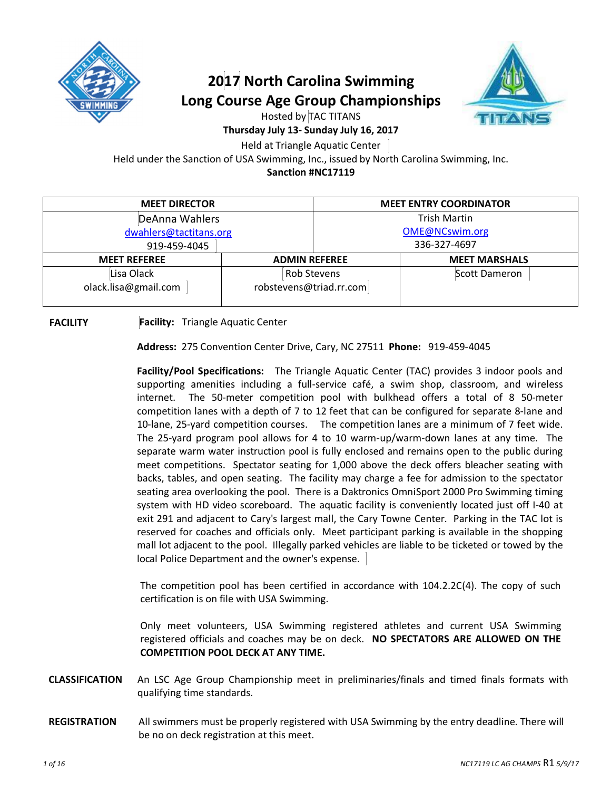

### **2017 North Carolina Swimming Long Course Age Group Championships**



Hosted by TAC TITANS

#### **Thursday July 13- Sunday July 16, 2017**

Held at Triangle Aquatic Center

Held under the Sanction of USA Swimming, Inc., issued by North Carolina Swimming, Inc.

**Sanction #NC17119**

| <b>MEET DIRECTOR</b>               |                                        | <b>MEET ENTRY COORDINATOR</b> |                      |
|------------------------------------|----------------------------------------|-------------------------------|----------------------|
| DeAnna Wahlers                     |                                        | <b>Trish Martin</b>           |                      |
| dwahlers@tactitans.org             |                                        | OME@NCswim.org                |                      |
| 919-459-4045                       |                                        | 336-327-4697                  |                      |
| <b>MEET REFEREE</b>                | <b>ADMIN REFEREE</b>                   |                               | <b>MEET MARSHALS</b> |
| Lisa Olack<br>olack.lisa@gmail.com | Rob Stevens<br>robstevens@triad.rr.com |                               | Scott Dameron        |

**FACILITY Facility:** Triangle Aquatic Center

**Address:** 275 Convention Center Drive, Cary, NC 27511 **Phone:** 919-459-4045

**Facility/Pool Specifications:** The Triangle Aquatic Center (TAC) provides 3 indoor pools and supporting amenities including a full-service café, a swim shop, classroom, and wireless internet. The 50-meter competition pool with bulkhead offers a total of 8 50-meter competition lanes with a depth of 7 to 12 feet that can be configured for separate 8-lane and 10-lane, 25-yard competition courses. The competition lanes are a minimum of 7 feet wide. The 25-yard program pool allows for 4 to 10 warm-up/warm-down lanes at any time. The separate warm water instruction pool is fully enclosed and remains open to the public during meet competitions. Spectator seating for 1,000 above the deck offers bleacher seating with backs, tables, and open seating. The facility may charge a fee for admission to the spectator seating area overlooking the pool. There is a Daktronics OmniSport 2000 Pro Swimming timing system with HD video scoreboard. The aquatic facility is conveniently located just off I-40 at exit 291 and adjacent to Cary's largest mall, the Cary Towne Center. Parking in the TAC lot is reserved for coaches and officials only. Meet participant parking is available in the shopping mall lot adjacent to the pool. Illegally parked vehicles are liable to be ticketed or towed by the local Police Department and the owner's expense.

The competition pool has been certified in accordance with 104.2.2C(4). The copy of such certification is on file with USA Swimming.

Only meet volunteers, USA Swimming registered athletes and current USA Swimming registered officials and coaches may be on deck. **NO SPECTATORS ARE ALLOWED ON THE COMPETITION POOL DECK AT ANY TIME.** 

- **CLASSIFICATION** An LSC Age Group Championship meet in preliminaries/finals and timed finals formats with qualifying time standards.
- **REGISTRATION** All swimmers must be properly registered with USA Swimming by the entry deadline. There will be no on deck registration at this meet.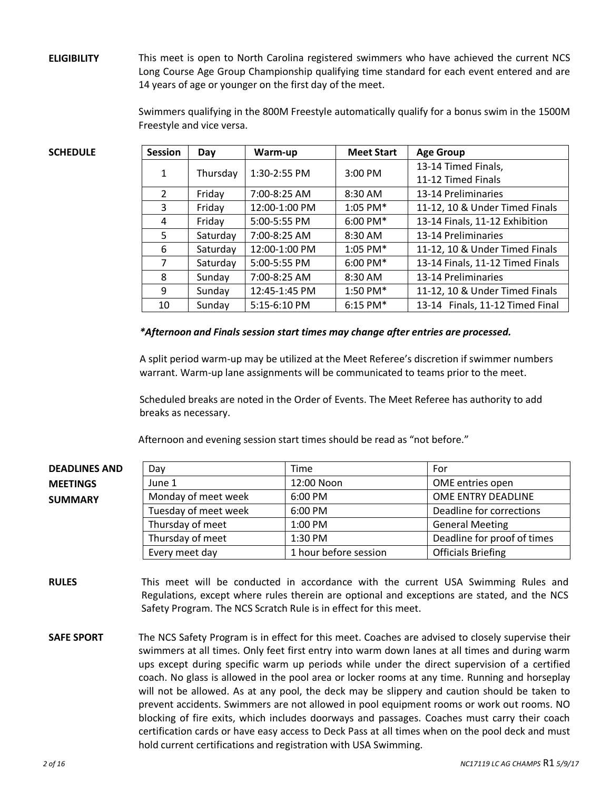**ELIGIBILITY** This meet is open to North Carolina registered swimmers who have achieved the current NCS Long Course Age Group Championship qualifying time standard for each event entered and are 14 years of age or younger on the first day of the meet.

> Swimmers qualifying in the 800M Freestyle automatically qualify for a bonus swim in the 1500M Freestyle and vice versa.

| <b>SCHEDULE</b> | <b>Session</b> | Day      | Warm-up       | <b>Meet Start</b> | <b>Age Group</b>                 |
|-----------------|----------------|----------|---------------|-------------------|----------------------------------|
|                 |                |          |               |                   | 13-14 Timed Finals,              |
|                 | 1              | Thursday | 1:30-2:55 PM  | 3:00 PM           | 11-12 Timed Finals               |
|                 | 2              | Friday   | 7:00-8:25 AM  | $8:30$ AM         | 13-14 Preliminaries              |
|                 | 3              | Friday   | 12:00-1:00 PM | 1:05 PM*          | 11-12, 10 & Under Timed Finals   |
|                 | 4              | Friday   | 5:00-5:55 PM  | $6:00$ PM*        | 13-14 Finals, 11-12 Exhibition   |
|                 | 5              | Saturday | 7:00-8:25 AM  | 8:30 AM           | 13-14 Preliminaries              |
|                 | 6              | Saturday | 12:00-1:00 PM | $1:05$ PM*        | 11-12, 10 & Under Timed Finals   |
|                 | 7              | Saturday | 5:00-5:55 PM  | $6:00$ PM*        | 13-14 Finals, 11-12 Timed Finals |
|                 | 8              | Sunday   | 7:00-8:25 AM  | 8:30 AM           | 13-14 Preliminaries              |
|                 | 9              | Sunday   | 12:45-1:45 PM | 1:50 PM*          | 11-12, 10 & Under Timed Finals   |
|                 | 10             | Sunday   | 5:15-6:10 PM  | 6:15 PM*          | 13-14 Finals, 11-12 Timed Final  |

#### *\*Afternoon and Finals session start times may change after entries are processed.*

A split period warm-up may be utilized at the Meet Referee's discretion if swimmer numbers warrant. Warm-up lane assignments will be communicated to teams prior to the meet.

Scheduled breaks are noted in the Order of Events. The Meet Referee has authority to add breaks as necessary.

Afternoon and evening session start times should be read as "not before."

| <b>DEADLINES AND</b> | Dav                  | Time                  | For                         |
|----------------------|----------------------|-----------------------|-----------------------------|
| <b>MEETINGS</b>      | June 1               | 12:00 Noon            | OME entries open            |
| SUMMARY              | Monday of meet week  | $6:00$ PM             | OME ENTRY DEADLINE          |
|                      | Tuesday of meet week | 6:00 PM               | Deadline for corrections    |
|                      | Thursday of meet     | 1:00 PM               | <b>General Meeting</b>      |
|                      | Thursday of meet     | 1:30 PM               | Deadline for proof of times |
|                      | Every meet day       | 1 hour before session | <b>Officials Briefing</b>   |

**RULES** This meet will be conducted in accordance with the current USA Swimming Rules and Regulations, except where rules therein are optional and exceptions are stated, and the NCS Safety Program. The NCS Scratch Rule is in effect for this meet.

**SAFE SPORT** The NCS Safety Program is in effect for this meet. Coaches are advised to closely supervise their swimmers at all times. Only feet first entry into warm down lanes at all times and during warm ups except during specific warm up periods while under the direct supervision of a certified coach. No glass is allowed in the pool area or locker rooms at any time. Running and horseplay will not be allowed. As at any pool, the deck may be slippery and caution should be taken to prevent accidents. Swimmers are not allowed in pool equipment rooms or work out rooms. NO blocking of fire exits, which includes doorways and passages. Coaches must carry their coach certification cards or have easy access to Deck Pass at all times when on the pool deck and must hold current certifications and registration with USA Swimming.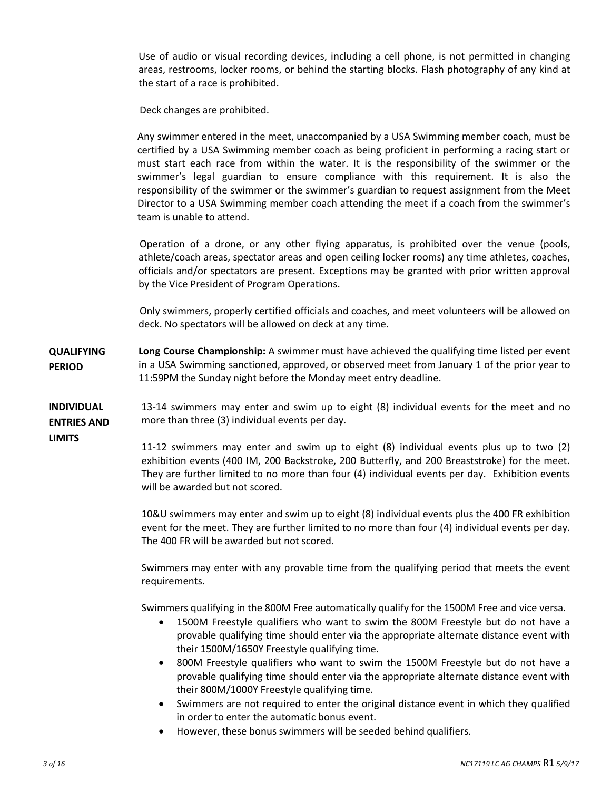Use of audio or visual recording devices, including a cell phone, is not permitted in changing areas, restrooms, locker rooms, or behind the starting blocks. Flash photography of any kind at the start of a race is prohibited.

Deck changes are prohibited.

Any swimmer entered in the meet, unaccompanied by a USA Swimming member coach, must be certified by a USA Swimming member coach as being proficient in performing a racing start or must start each race from within the water. It is the responsibility of the swimmer or the swimmer's legal guardian to ensure compliance with this requirement. It is also the responsibility of the swimmer or the swimmer's guardian to request assignment from the Meet Director to a USA Swimming member coach attending the meet if a coach from the swimmer's team is unable to attend.

Operation of a drone, or any other flying apparatus, is prohibited over the venue (pools, athlete/coach areas, spectator areas and open ceiling locker rooms) any time athletes, coaches, officials and/or spectators are present. Exceptions may be granted with prior written approval by the Vice President of Program Operations.

Only swimmers, properly certified officials and coaches, and meet volunteers will be allowed on deck. No spectators will be allowed on deck at any time.

**QUALIFYING PERIOD Long Course Championship:** A swimmer must have achieved the qualifying time listed per event in a USA Swimming sanctioned, approved, or observed meet from January 1 of the prior year to 11:59PM the Sunday night before the Monday meet entry deadline.

**INDIVIDUAL ENTRIES AND**  13-14 swimmers may enter and swim up to eight (8) individual events for the meet and no more than three (3) individual events per day.

**LIMITS**

11-12 swimmers may enter and swim up to eight (8) individual events plus up to two (2) exhibition events (400 IM, 200 Backstroke, 200 Butterfly, and 200 Breaststroke) for the meet. They are further limited to no more than four (4) individual events per day. Exhibition events will be awarded but not scored.

10&U swimmers may enter and swim up to eight (8) individual events plus the 400 FR exhibition event for the meet. They are further limited to no more than four (4) individual events per day. The 400 FR will be awarded but not scored.

Swimmers may enter with any provable time from the qualifying period that meets the event requirements.

Swimmers qualifying in the 800M Free automatically qualify for the 1500M Free and vice versa.

- · 1500M Freestyle qualifiers who want to swim the 800M Freestyle but do not have a provable qualifying time should enter via the appropriate alternate distance event with their 1500M/1650Y Freestyle qualifying time.
- · 800M Freestyle qualifiers who want to swim the 1500M Freestyle but do not have a provable qualifying time should enter via the appropriate alternate distance event with their 800M/1000Y Freestyle qualifying time.
- · Swimmers are not required to enter the original distance event in which they qualified in order to enter the automatic bonus event.
- · However, these bonus swimmers will be seeded behind qualifiers.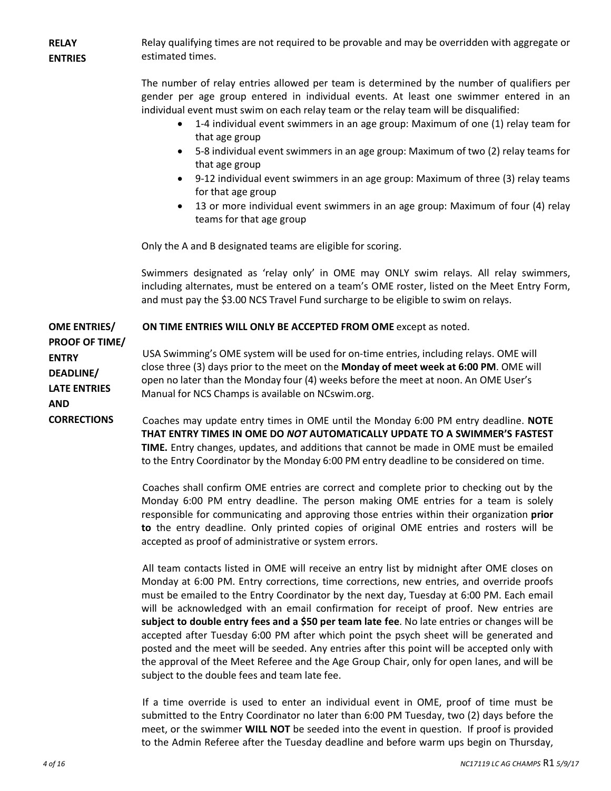**RELAY ENTRIES** Relay qualifying times are not required to be provable and may be overridden with aggregate or estimated times.

> The number of relay entries allowed per team is determined by the number of qualifiers per gender per age group entered in individual events. At least one swimmer entered in an individual event must swim on each relay team or the relay team will be disqualified:

- · 1-4 individual event swimmers in an age group: Maximum of one (1) relay team for that age group
- · 5-8 individual event swimmers in an age group: Maximum of two (2) relay teams for that age group
- · 9-12 individual event swimmers in an age group: Maximum of three (3) relay teams for that age group
- · 13 or more individual event swimmers in an age group: Maximum of four (4) relay teams for that age group

Only the A and B designated teams are eligible for scoring.

Swimmers designated as 'relay only' in OME may ONLY swim relays. All relay swimmers, including alternates, must be entered on a team's OME roster, listed on the Meet Entry Form, and must pay the \$3.00 NCS Travel Fund surcharge to be eligible to swim on relays.

**OME ENTRIES/ ON TIME ENTRIES WILL ONLY BE ACCEPTED FROM OME** except as noted.

**PROOF OF TIME/ ENTRY DEADLINE/ LATE ENTRIES AND CORRECTIONS**

USA Swimming's OME system will be used for on-time entries, including relays. OME will close three (3) days prior to the meet on the **Monday of meet week at 6:00 PM**. OME will open no later than the Monday four (4) weeks before the meet at noon. An OME User's Manual for NCS Champs is available on NCswim.org.

Coaches may update entry times in OME until the Monday 6:00 PM entry deadline. **NOTE THAT ENTRY TIMES IN OME DO** *NOT* **AUTOMATICALLY UPDATE TO A SWIMMER'S FASTEST TIME.** Entry changes, updates, and additions that cannot be made in OME must be emailed to the Entry Coordinator by the Monday 6:00 PM entry deadline to be considered on time.

Coaches shall confirm OME entries are correct and complete prior to checking out by the Monday 6:00 PM entry deadline. The person making OME entries for a team is solely responsible for communicating and approving those entries within their organization **prior to** the entry deadline. Only printed copies of original OME entries and rosters will be accepted as proof of administrative or system errors.

All team contacts listed in OME will receive an entry list by midnight after OME closes on Monday at 6:00 PM. Entry corrections, time corrections, new entries, and override proofs must be emailed to the Entry Coordinator by the next day, Tuesday at 6:00 PM. Each email will be acknowledged with an email confirmation for receipt of proof. New entries are **subject to double entry fees and a \$50 per team late fee**. No late entries or changes will be accepted after Tuesday 6:00 PM after which point the psych sheet will be generated and posted and the meet will be seeded. Any entries after this point will be accepted only with the approval of the Meet Referee and the Age Group Chair, only for open lanes, and will be subject to the double fees and team late fee.

If a time override is used to enter an individual event in OME, proof of time must be submitted to the Entry Coordinator no later than 6:00 PM Tuesday, two (2) days before the meet, or the swimmer **WILL NOT** be seeded into the event in question. If proof is provided to the Admin Referee after the Tuesday deadline and before warm ups begin on Thursday,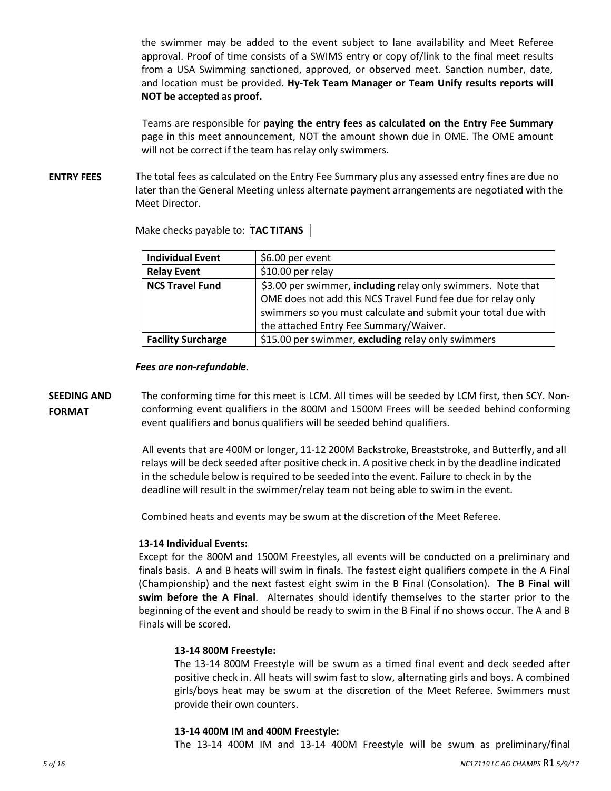the swimmer may be added to the event subject to lane availability and Meet Referee approval. Proof of time consists of a SWIMS entry or copy of/link to the final meet results from a USA Swimming sanctioned, approved, or observed meet. Sanction number, date, and location must be provided. **Hy-Tek Team Manager or Team Unify results reports will NOT be accepted as proof.**

Teams are responsible for **paying the entry fees as calculated on the Entry Fee Summary** page in this meet announcement, NOT the amount shown due in OME. The OME amount will not be correct if the team has relay only swimmers.

**ENTRY FEES** The total fees as calculated on the Entry Fee Summary plus any assessed entry fines are due no later than the General Meeting unless alternate payment arrangements are negotiated with the Meet Director.

| <b>Individual Event</b>   | \$6.00 per event                                              |
|---------------------------|---------------------------------------------------------------|
| <b>Relay Event</b>        | \$10.00 per relay                                             |
| <b>NCS Travel Fund</b>    | \$3.00 per swimmer, including relay only swimmers. Note that  |
|                           | OME does not add this NCS Travel Fund fee due for relay only  |
|                           | swimmers so you must calculate and submit your total due with |
|                           | the attached Entry Fee Summary/Waiver.                        |
| <b>Facility Surcharge</b> | \$15.00 per swimmer, excluding relay only swimmers            |

Make checks payable to: **TAC TITANS** 

#### *Fees are non-refundable.*

**SEEDING AND FORMAT** The conforming time for this meet is LCM. All times will be seeded by LCM first, then SCY. Nonconforming event qualifiers in the 800M and 1500M Frees will be seeded behind conforming event qualifiers and bonus qualifiers will be seeded behind qualifiers.

> All events that are 400M or longer, 11-12 200M Backstroke, Breaststroke, and Butterfly, and all relays will be deck seeded after positive check in. A positive check in by the deadline indicated in the schedule below is required to be seeded into the event. Failure to check in by the deadline will result in the swimmer/relay team not being able to swim in the event.

Combined heats and events may be swum at the discretion of the Meet Referee.

#### **13-14 Individual Events:**

Except for the 800M and 1500M Freestyles, all events will be conducted on a preliminary and finals basis. A and B heats will swim in finals. The fastest eight qualifiers compete in the A Final (Championship) and the next fastest eight swim in the B Final (Consolation). **The B Final will swim before the A Final**. Alternates should identify themselves to the starter prior to the beginning of the event and should be ready to swim in the B Final if no shows occur. The A and B Finals will be scored.

#### **13-14 800M Freestyle:**

The 13-14 800M Freestyle will be swum as a timed final event and deck seeded after positive check in. All heats will swim fast to slow, alternating girls and boys. A combined girls/boys heat may be swum at the discretion of the Meet Referee. Swimmers must provide their own counters.

#### **13-14 400M IM and 400M Freestyle:**

The 13-14 400M IM and 13-14 400M Freestyle will be swum as preliminary/final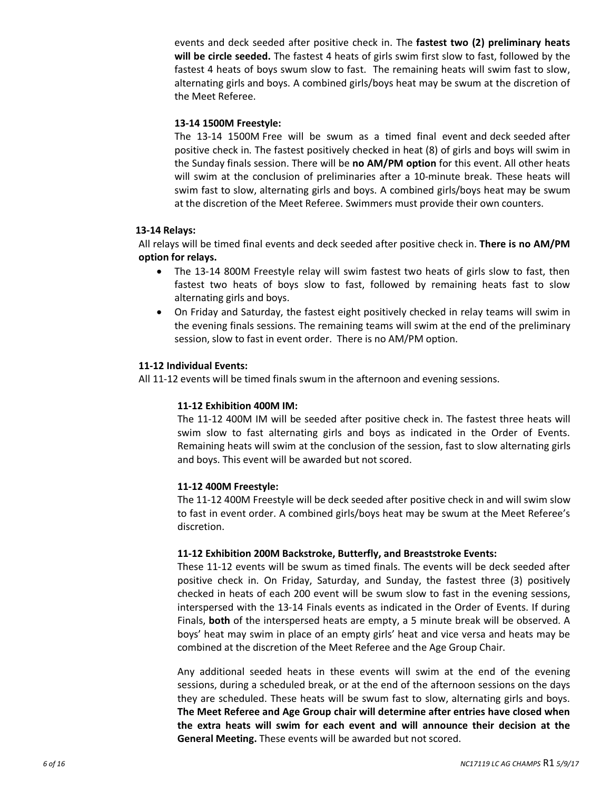events and deck seeded after positive check in. The **fastest two (2) preliminary heats will be circle seeded.** The fastest 4 heats of girls swim first slow to fast, followed by the fastest 4 heats of boys swum slow to fast. The remaining heats will swim fast to slow, alternating girls and boys. A combined girls/boys heat may be swum at the discretion of the Meet Referee.

#### **13-14 1500M Freestyle:**

The 13-14 1500M Free will be swum as a timed final event and deck seeded after positive check in. The fastest positively checked in heat (8) of girls and boys will swim in the Sunday finals session. There will be **no AM/PM option** for this event. All other heats will swim at the conclusion of preliminaries after a 10-minute break. These heats will swim fast to slow, alternating girls and boys. A combined girls/boys heat may be swum at the discretion of the Meet Referee. Swimmers must provide their own counters.

#### **13-14 Relays:**

All relays will be timed final events and deck seeded after positive check in. **There is no AM/PM option for relays.**

- The 13-14 800M Freestyle relay will swim fastest two heats of girls slow to fast, then fastest two heats of boys slow to fast, followed by remaining heats fast to slow alternating girls and boys.
- · On Friday and Saturday, the fastest eight positively checked in relay teams will swim in the evening finals sessions. The remaining teams will swim at the end of the preliminary session, slow to fast in event order. There is no AM/PM option.

#### **11-12 Individual Events:**

All 11-12 events will be timed finals swum in the afternoon and evening sessions.

#### **11-12 Exhibition 400M IM:**

The 11-12 400M IM will be seeded after positive check in. The fastest three heats will swim slow to fast alternating girls and boys as indicated in the Order of Events. Remaining heats will swim at the conclusion of the session, fast to slow alternating girls and boys. This event will be awarded but not scored.

#### **11-12 400M Freestyle:**

The 11-12 400M Freestyle will be deck seeded after positive check in and will swim slow to fast in event order. A combined girls/boys heat may be swum at the Meet Referee's discretion.

#### **11-12 Exhibition 200M Backstroke, Butterfly, and Breaststroke Events:**

These 11-12 events will be swum as timed finals. The events will be deck seeded after positive check in. On Friday, Saturday, and Sunday, the fastest three (3) positively checked in heats of each 200 event will be swum slow to fast in the evening sessions, interspersed with the 13-14 Finals events as indicated in the Order of Events. If during Finals, **both** of the interspersed heats are empty, a 5 minute break will be observed. A boys' heat may swim in place of an empty girls' heat and vice versa and heats may be combined at the discretion of the Meet Referee and the Age Group Chair.

Any additional seeded heats in these events will swim at the end of the evening sessions, during a scheduled break, or at the end of the afternoon sessions on the days they are scheduled. These heats will be swum fast to slow, alternating girls and boys. **The Meet Referee and Age Group chair will determine after entries have closed when the extra heats will swim for each event and will announce their decision at the General Meeting.** These events will be awarded but not scored.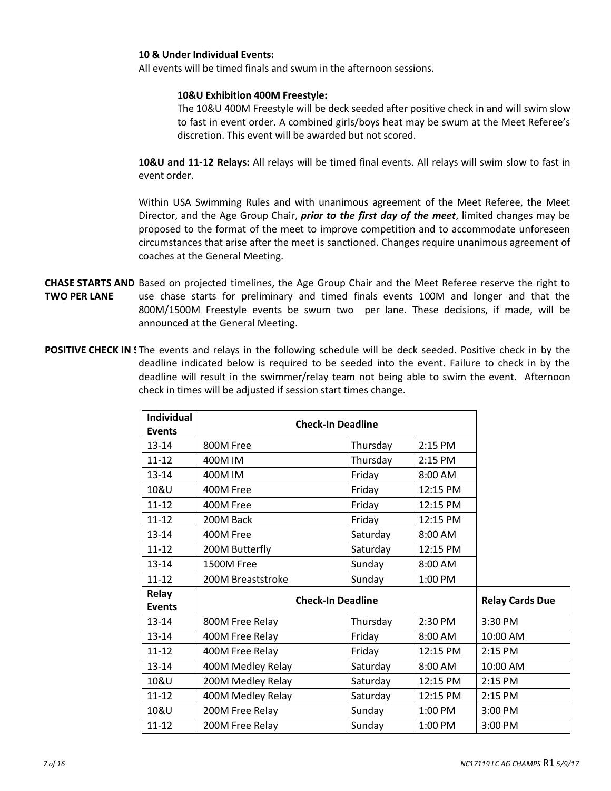#### **10 & Under Individual Events:**

All events will be timed finals and swum in the afternoon sessions.

#### **10&U Exhibition 400M Freestyle:**

The 10&U 400M Freestyle will be deck seeded after positive check in and will swim slow to fast in event order. A combined girls/boys heat may be swum at the Meet Referee's discretion. This event will be awarded but not scored.

**10&U and 11-12 Relays:** All relays will be timed final events. All relays will swim slow to fast in event order.

Within USA Swimming Rules and with unanimous agreement of the Meet Referee, the Meet Director, and the Age Group Chair, *prior to the first day of the meet*, limited changes may be proposed to the format of the meet to improve competition and to accommodate unforeseen circumstances that arise after the meet is sanctioned. Changes require unanimous agreement of coaches at the General Meeting.

- CHASE STARTS AND Based on projected timelines, the Age Group Chair and the Meet Referee reserve the right to **TWO PER LANE** use chase starts for preliminary and timed finals events 100M and longer and that the 800M/1500M Freestyle events be swum two per lane. These decisions, if made, will be announced at the General Meeting.
- **POSITIVE CHECK IN** Sthe events and relays in the following schedule will be deck seeded. Positive check in by the deadline indicated below is required to be seeded into the event. Failure to check in by the deadline will result in the swimmer/relay team not being able to swim the event. Afternoon check in times will be adjusted if session start times change.

| <b>Individual</b> |                          |          |           |                        |
|-------------------|--------------------------|----------|-----------|------------------------|
| <b>Events</b>     | <b>Check-In Deadline</b> |          |           |                        |
| $13 - 14$         | 800M Free                | Thursday | 2:15 PM   |                        |
| $11 - 12$         | 400M IM                  | Thursday | 2:15 PM   |                        |
| $13 - 14$         | 400M IM                  | Friday   | 8:00 AM   |                        |
| 10&U              | 400M Free                | Friday   | 12:15 PM  |                        |
| $11 - 12$         | 400M Free                | Friday   | 12:15 PM  |                        |
| $11 - 12$         | 200M Back                | Friday   | 12:15 PM  |                        |
| 13-14             | 400M Free                | Saturday | 8:00 AM   |                        |
| $11 - 12$         | 200M Butterfly           | Saturday | 12:15 PM  |                        |
| 13-14             | 1500M Free               | Sunday   | 8:00 AM   |                        |
| $11 - 12$         | 200M Breaststroke        | Sunday   | 1:00 PM   |                        |
| Relay             | <b>Check-In Deadline</b> |          |           | <b>Relay Cards Due</b> |
| <b>Events</b>     |                          |          |           |                        |
| $13 - 14$         | 800M Free Relay          | Thursday | 2:30 PM   | 3:30 PM                |
| 13-14             | 400M Free Relay          | Friday   | $8:00$ AM | 10:00 AM               |
| $11 - 12$         | 400M Free Relay          | Friday   | 12:15 PM  | 2:15 PM                |
| 13-14             | 400M Medley Relay        | Saturday | 8:00 AM   | 10:00 AM               |
| 10&U              | 200M Medley Relay        | Saturday | 12:15 PM  | 2:15 PM                |
| $11 - 12$         | 400M Medley Relay        | Saturday | 12:15 PM  | 2:15 PM                |
| 10&U              | 200M Free Relay          | Sunday   | 1:00 PM   | 3:00 PM                |
| $11 - 12$         | 200M Free Relay          | Sunday   | 1:00 PM   | 3:00 PM                |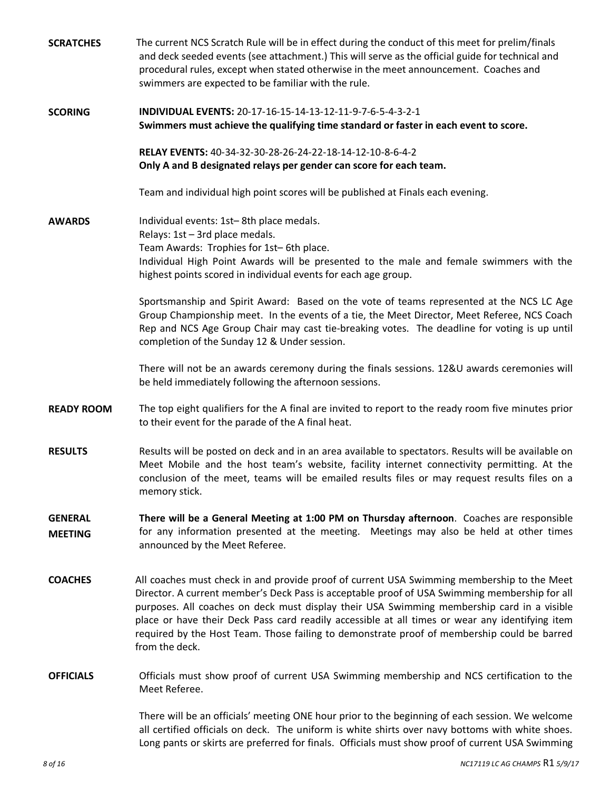| <b>SCRATCHES</b>                 | The current NCS Scratch Rule will be in effect during the conduct of this meet for prelim/finals<br>and deck seeded events (see attachment.) This will serve as the official guide for technical and<br>procedural rules, except when stated otherwise in the meet announcement. Coaches and<br>swimmers are expected to be familiar with the rule.                                                                                                                                                           |
|----------------------------------|---------------------------------------------------------------------------------------------------------------------------------------------------------------------------------------------------------------------------------------------------------------------------------------------------------------------------------------------------------------------------------------------------------------------------------------------------------------------------------------------------------------|
| <b>SCORING</b>                   | INDIVIDUAL EVENTS: 20-17-16-15-14-13-12-11-9-7-6-5-4-3-2-1<br>Swimmers must achieve the qualifying time standard or faster in each event to score.                                                                                                                                                                                                                                                                                                                                                            |
|                                  | RELAY EVENTS: 40-34-32-30-28-26-24-22-18-14-12-10-8-6-4-2<br>Only A and B designated relays per gender can score for each team.                                                                                                                                                                                                                                                                                                                                                                               |
|                                  | Team and individual high point scores will be published at Finals each evening.                                                                                                                                                                                                                                                                                                                                                                                                                               |
| <b>AWARDS</b>                    | Individual events: 1st-8th place medals.<br>Relays: 1st - 3rd place medals.<br>Team Awards: Trophies for 1st-6th place.<br>Individual High Point Awards will be presented to the male and female swimmers with the<br>highest points scored in individual events for each age group.                                                                                                                                                                                                                          |
|                                  | Sportsmanship and Spirit Award: Based on the vote of teams represented at the NCS LC Age<br>Group Championship meet. In the events of a tie, the Meet Director, Meet Referee, NCS Coach<br>Rep and NCS Age Group Chair may cast tie-breaking votes. The deadline for voting is up until<br>completion of the Sunday 12 & Under session.                                                                                                                                                                       |
|                                  | There will not be an awards ceremony during the finals sessions. 12&U awards ceremonies will<br>be held immediately following the afternoon sessions.                                                                                                                                                                                                                                                                                                                                                         |
| <b>READY ROOM</b>                | The top eight qualifiers for the A final are invited to report to the ready room five minutes prior<br>to their event for the parade of the A final heat.                                                                                                                                                                                                                                                                                                                                                     |
| <b>RESULTS</b>                   | Results will be posted on deck and in an area available to spectators. Results will be available on<br>Meet Mobile and the host team's website, facility internet connectivity permitting. At the<br>conclusion of the meet, teams will be emailed results files or may request results files on a<br>memory stick.                                                                                                                                                                                           |
| <b>GENERAL</b><br><b>MEETING</b> | There will be a General Meeting at 1:00 PM on Thursday afternoon. Coaches are responsible<br>for any information presented at the meeting. Meetings may also be held at other times<br>announced by the Meet Referee.                                                                                                                                                                                                                                                                                         |
| <b>COACHES</b>                   | All coaches must check in and provide proof of current USA Swimming membership to the Meet<br>Director. A current member's Deck Pass is acceptable proof of USA Swimming membership for all<br>purposes. All coaches on deck must display their USA Swimming membership card in a visible<br>place or have their Deck Pass card readily accessible at all times or wear any identifying item<br>required by the Host Team. Those failing to demonstrate proof of membership could be barred<br>from the deck. |
| <b>OFFICIALS</b>                 | Officials must show proof of current USA Swimming membership and NCS certification to the<br>Meet Referee.                                                                                                                                                                                                                                                                                                                                                                                                    |
|                                  | There will be an officials' meeting ONE hour prior to the beginning of each session. We welcome<br>all certified officials on deck. The uniform is white shirts over navy bottoms with white shoes.<br>Long pants or skirts are preferred for finals. Officials must show proof of current USA Swimming                                                                                                                                                                                                       |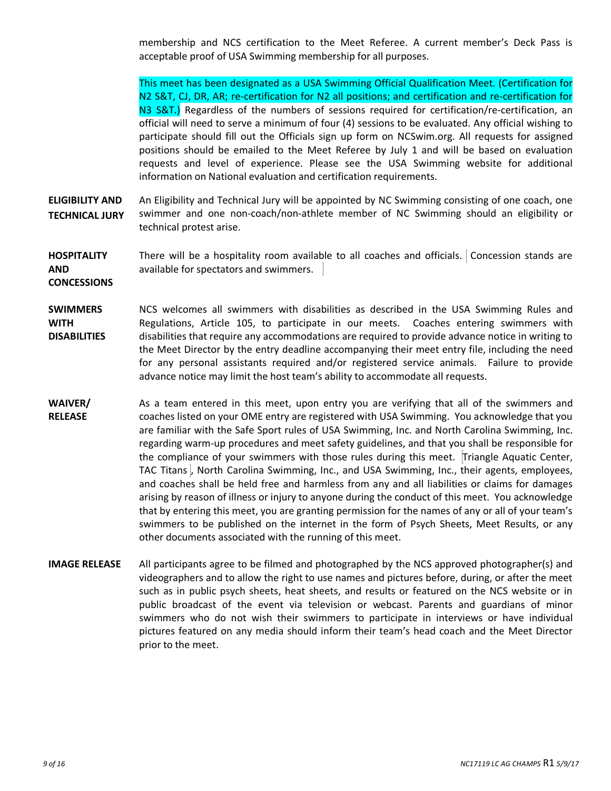membership and NCS certification to the Meet Referee. A current member's Deck Pass is acceptable proof of USA Swimming membership for all purposes.

This meet has been designated as a USA Swimming Official Qualification Meet. (Certification for N2 S&T, CJ, DR, AR; re-certification for N2 all positions; and certification and re-certification for N3 S&T.) Regardless of the numbers of sessions required for certification/re-certification, an official will need to serve a minimum of four (4) sessions to be evaluated. Any official wishing to participate should fill out the Officials sign up form on NCSwim.org. All requests for assigned positions should be emailed to the Meet Referee by July 1 and will be based on evaluation requests and level of experience. Please see the USA Swimming website for additional information on National evaluation and certification requirements.

- **ELIGIBILITY AND TECHNICAL JURY** An Eligibility and Technical Jury will be appointed by NC Swimming consisting of one coach, one swimmer and one non-coach/non-athlete member of NC Swimming should an eligibility or technical protest arise.
- **HOSPITALITY AND CONCESSIONS** There will be a hospitality room available to all coaches and officials. Concession stands are available for spectators and swimmers.
- **SWIMMERS WITH DISABILITIES** NCS welcomes all swimmers with disabilities as described in the USA Swimming Rules and Regulations, Article 105, to participate in our meets. Coaches entering swimmers with disabilities that require any accommodations are required to provide advance notice in writing to the Meet Director by the entry deadline accompanying their meet entry file, including the need for any personal assistants required and/or registered service animals. Failure to provide advance notice may limit the host team's ability to accommodate all requests.
- **WAIVER/ RELEASE** As a team entered in this meet, upon entry you are verifying that all of the swimmers and coaches listed on your OME entry are registered with USA Swimming. You acknowledge that you are familiar with the Safe Sport rules of USA Swimming, Inc. and North Carolina Swimming, Inc. regarding warm-up procedures and meet safety guidelines, and that you shall be responsible for the compliance of your swimmers with those rules during this meet. Triangle Aquatic Center, TAC Titans , North Carolina Swimming, Inc., and USA Swimming, Inc., their agents, employees, and coaches shall be held free and harmless from any and all liabilities or claims for damages arising by reason of illness or injury to anyone during the conduct of this meet. You acknowledge that by entering this meet, you are granting permission for the names of any or all of your team's swimmers to be published on the internet in the form of Psych Sheets, Meet Results, or any other documents associated with the running of this meet.
- **IMAGE RELEASE** All participants agree to be filmed and photographed by the NCS approved photographer(s) and videographers and to allow the right to use names and pictures before, during, or after the meet such as in public psych sheets, heat sheets, and results or featured on the NCS website or in public broadcast of the event via television or webcast. Parents and guardians of minor swimmers who do not wish their swimmers to participate in interviews or have individual pictures featured on any media should inform their team's head coach and the Meet Director prior to the meet.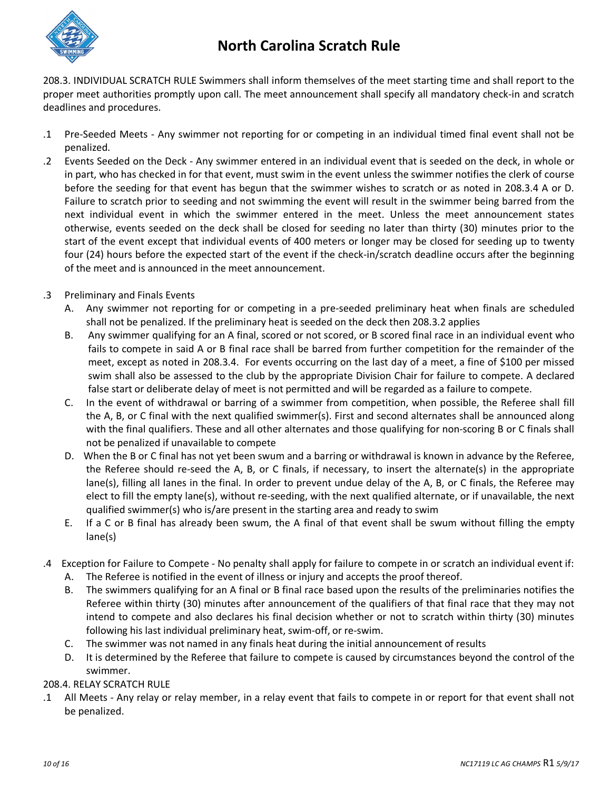

### **North Carolina Scratch Rule**

208.3. INDIVIDUAL SCRATCH RULE Swimmers shall inform themselves of the meet starting time and shall report to the proper meet authorities promptly upon call. The meet announcement shall specify all mandatory check-in and scratch deadlines and procedures.

- .1 Pre-Seeded Meets Any swimmer not reporting for or competing in an individual timed final event shall not be penalized.
- .2 Events Seeded on the Deck Any swimmer entered in an individual event that is seeded on the deck, in whole or in part, who has checked in for that event, must swim in the event unless the swimmer notifies the clerk of course before the seeding for that event has begun that the swimmer wishes to scratch or as noted in 208.3.4 A or D. Failure to scratch prior to seeding and not swimming the event will result in the swimmer being barred from the next individual event in which the swimmer entered in the meet. Unless the meet announcement states otherwise, events seeded on the deck shall be closed for seeding no later than thirty (30) minutes prior to the start of the event except that individual events of 400 meters or longer may be closed for seeding up to twenty four (24) hours before the expected start of the event if the check-in/scratch deadline occurs after the beginning of the meet and is announced in the meet announcement.
- .3 Preliminary and Finals Events
	- A. Any swimmer not reporting for or competing in a pre-seeded preliminary heat when finals are scheduled shall not be penalized. If the preliminary heat is seeded on the deck then 208.3.2 applies
	- B. Any swimmer qualifying for an A final, scored or not scored, or B scored final race in an individual event who fails to compete in said A or B final race shall be barred from further competition for the remainder of the meet, except as noted in 208.3.4. For events occurring on the last day of a meet, a fine of \$100 per missed swim shall also be assessed to the club by the appropriate Division Chair for failure to compete. A declared false start or deliberate delay of meet is not permitted and will be regarded as a failure to compete.
	- C. In the event of withdrawal or barring of a swimmer from competition, when possible, the Referee shall fill the A, B, or C final with the next qualified swimmer(s). First and second alternates shall be announced along with the final qualifiers. These and all other alternates and those qualifying for non-scoring B or C finals shall not be penalized if unavailable to compete
	- D. When the B or C final has not yet been swum and a barring or withdrawal is known in advance by the Referee, the Referee should re-seed the A, B, or C finals, if necessary, to insert the alternate(s) in the appropriate lane(s), filling all lanes in the final. In order to prevent undue delay of the A, B, or C finals, the Referee may elect to fill the empty lane(s), without re-seeding, with the next qualified alternate, or if unavailable, the next qualified swimmer(s) who is/are present in the starting area and ready to swim
	- E. If a C or B final has already been swum, the A final of that event shall be swum without filling the empty lane(s)
- .4 Exception for Failure to Compete No penalty shall apply for failure to compete in or scratch an individual event if:
	- A. The Referee is notified in the event of illness or injury and accepts the proof thereof.
	- B. The swimmers qualifying for an A final or B final race based upon the results of the preliminaries notifies the Referee within thirty (30) minutes after announcement of the qualifiers of that final race that they may not intend to compete and also declares his final decision whether or not to scratch within thirty (30) minutes following his last individual preliminary heat, swim-off, or re-swim.
	- C. The swimmer was not named in any finals heat during the initial announcement of results
	- D. It is determined by the Referee that failure to compete is caused by circumstances beyond the control of the swimmer.

### 208.4. RELAY SCRATCH RULE

.1 All Meets - Any relay or relay member, in a relay event that fails to compete in or report for that event shall not be penalized.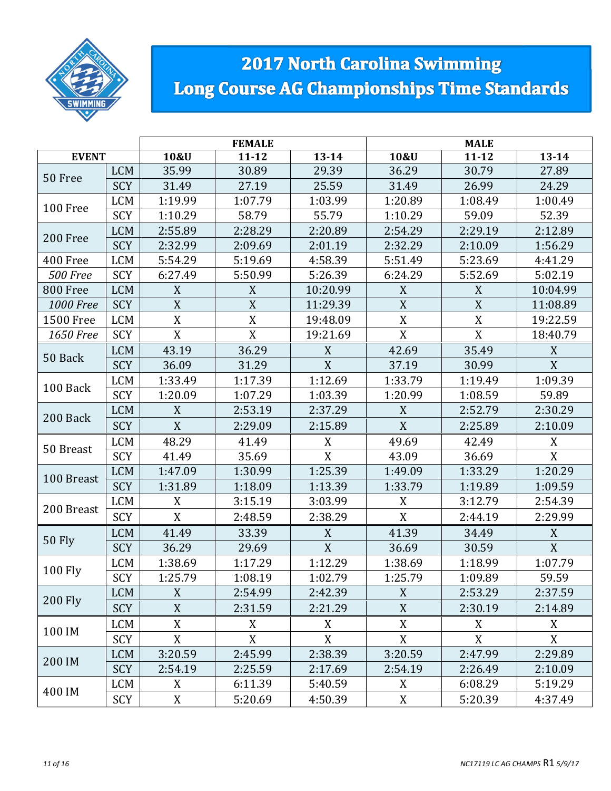

# **2017 North Carolina Swimming** Long Course AG Championships Time Standards

|                  |                                    |                | <b>FEMALE</b>    |                |                  | <b>MALE</b> |                |
|------------------|------------------------------------|----------------|------------------|----------------|------------------|-------------|----------------|
| <b>EVENT</b>     |                                    | 10&U           | $11 - 12$        | $13 - 14$      | 10&U             | $11 - 12$   | $13 - 14$      |
| 50 Free          | <b>LCM</b>                         | 35.99          | 30.89            | 29.39          | 36.29            | 30.79       | 27.89          |
|                  | <b>SCY</b>                         | 31.49          | 27.19            | 25.59          | 31.49            | 26.99       | 24.29          |
| 100 Free         | <b>LCM</b>                         | 1:19.99        | 1:07.79          | 1:03.99        | 1:20.89          | 1:08.49     | 1:00.49        |
|                  | SCY                                | 1:10.29        | 58.79            | 55.79          | 1:10.29          | 59.09       | 52.39          |
| 200 Free         | <b>LCM</b>                         | 2:55.89        | 2:28.29          | 2:20.89        | 2:54.29          | 2:29.19     | 2:12.89        |
|                  | <b>SCY</b>                         | 2:32.99        | 2:09.69          | 2:01.19        | 2:32.29          | 2:10.09     | 1:56.29        |
| 400 Free         | <b>LCM</b>                         | 5:54.29        | 5:19.69          | 4:58.39        | 5:51.49          | 5:23.69     | 4:41.29        |
| <b>500 Free</b>  | SCY                                | 6:27.49        | 5:50.99          | 5:26.39        | 6:24.29          | 5:52.69     | 5:02.19        |
| 800 Free         | <b>LCM</b>                         | X              | $\boldsymbol{X}$ | 10:20.99       | X                | X           | 10:04.99       |
| <b>1000 Free</b> | SCY                                | X              | X                | 11:29.39       | $\mathbf{X}$     | X           | 11:08.89       |
| 1500 Free        | <b>LCM</b>                         | $\mathbf X$    | $\mathbf X$      | 19:48.09       | $\mathbf X$      | $\mathbf X$ | 19:22.59       |
| 1650 Free        | SCY                                | X              | X                | 19:21.69       | $\mathbf X$      | $\mathbf X$ | 18:40.79       |
| 50 Back          | <b>LCM</b>                         | 43.19          | 36.29            | X              | 42.69            | 35.49       | X              |
|                  | <b>SCY</b>                         | 36.09          | 31.29            | $\overline{X}$ | 37.19            | 30.99       | $\overline{X}$ |
| 100 Back         | <b>LCM</b>                         | 1:33.49        | 1:17.39          | 1:12.69        | 1:33.79          | 1:19.49     | 1:09.39        |
|                  | SCY                                | 1:20.09        | 1:07.29          | 1:03.39        | 1:20.99          | 1:08.59     | 59.89          |
| 200 Back         | <b>LCM</b>                         | X              | 2:53.19          | 2:37.29        | X                | 2:52.79     | 2:30.29        |
|                  | <b>SCY</b>                         | X              | 2:29.09          | 2:15.89        | X                | 2:25.89     | 2:10.09        |
|                  | <b>LCM</b>                         | 48.29          | 41.49            | X              | 49.69            | 42.49       | X              |
| 50 Breast        | SCY                                | 41.49          | 35.69            | X              | 43.09            | 36.69       | $\mathbf X$    |
|                  | <b>LCM</b>                         | 1:47.09        | 1:30.99          | 1:25.39        | 1:49.09          | 1:33.29     | 1:20.29        |
| 100 Breast       | SCY                                | 1:31.89        | 1:18.09          | 1:13.39        | 1:33.79          | 1:19.89     | 1:09.59        |
|                  | $\ensuremath{\mathsf{LCM}}\xspace$ | X              | 3:15.19          | 3:03.99        | X                | 3:12.79     | 2:54.39        |
| 200 Breast       | SCY                                | X              | 2:48.59          | 2:38.29        | $\boldsymbol{X}$ | 2:44.19     | 2:29.99        |
|                  | <b>LCM</b>                         | 41.49          | 33.39            | X              | 41.39            | 34.49       | X              |
| <b>50 Fly</b>    | <b>SCY</b>                         | 36.29          | 29.69            | X              | 36.69            | 30.59       | X              |
|                  | <b>LCM</b>                         | 1:38.69        | 1:17.29          | 1:12.29        | 1:38.69          | 1:18.99     | 1:07.79        |
| <b>100 Fly</b>   | SCY                                | 1:25.79        | 1:08.19          | 1:02.79        | 1:25.79          | 1:09.89     | 59.59          |
|                  | <b>LCM</b>                         | X              | 2:54.99          | 2:42.39        | X                | 2:53.29     | 2:37.59        |
| <b>200 Fly</b>   | SCY                                | $\mathbf X$    | 2:31.59          | 2:21.29        | X                | 2:30.19     | 2:14.89        |
|                  | <b>LCM</b>                         | $\overline{X}$ | X                | X              | $\overline{X}$   | X           | X              |
| 100 IM           | SCY                                | X              | X                | X              | X                | X           | X              |
|                  | <b>LCM</b>                         | 3:20.59        | 2:45.99          | 2:38.39        | 3:20.59          | 2:47.99     | 2:29.89        |
| 200 IM           | SCY                                | 2:54.19        | 2:25.59          | 2:17.69        | 2:54.19          | 2:26.49     | 2:10.09        |
|                  | <b>LCM</b>                         | X              | 6:11.39          | 5:40.59        | X                | 6:08.29     | 5:19.29        |
| 400 IM           | SCY                                | X              | 5:20.69          | 4:50.39        | X                | 5:20.39     | 4:37.49        |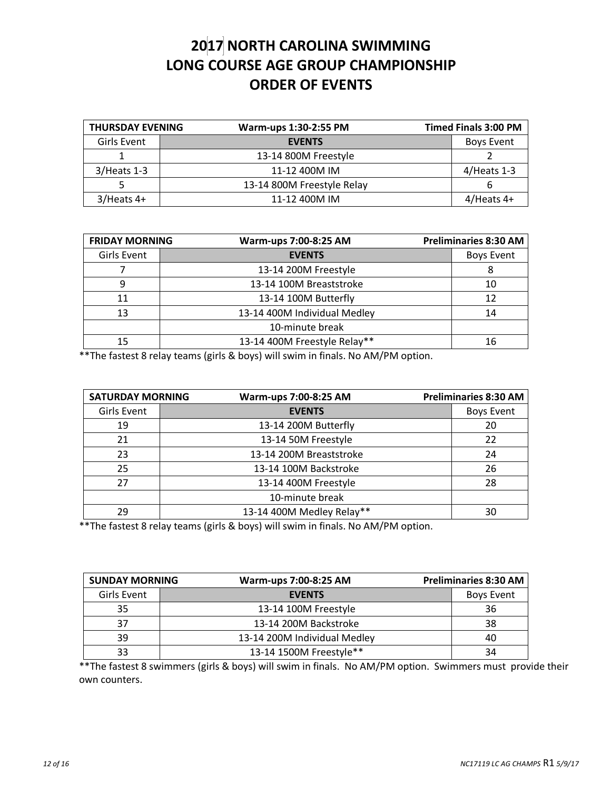## **2017 NORTH CAROLINA SWIMMING LONG COURSE AGE GROUP CHAMPIONSHIP ORDER OF EVENTS**

| <b>THURSDAY EVENING</b> | Warm-ups 1:30-2:55 PM      | <b>Timed Finals 3:00 PM</b> |
|-------------------------|----------------------------|-----------------------------|
| Girls Event             | <b>EVENTS</b>              | <b>Boys Event</b>           |
|                         | 13-14 800M Freestyle       |                             |
| $3/$ Heats 1-3          | 11-12 400M IM              | $4/$ Heats 1-3              |
|                         | 13-14 800M Freestyle Relay |                             |
| $3/$ Heats 4+           | 11-12 400M IM              | $4/$ Heats 4+               |

| <b>FRIDAY MORNING</b> | Warm-ups 7:00-8:25 AM        | <b>Preliminaries 8:30 AM</b> |
|-----------------------|------------------------------|------------------------------|
| <b>Girls Event</b>    | <b>EVENTS</b>                | <b>Boys Event</b>            |
|                       | 13-14 200M Freestyle         | 8                            |
| q                     | 13-14 100M Breaststroke      | 10                           |
| 11                    | 13-14 100M Butterfly         | 12                           |
| 13                    | 13-14 400M Individual Medley | 14                           |
|                       | 10-minute break              |                              |
| 15                    | 13-14 400M Freestyle Relay** | 16                           |

\*\*The fastest 8 relay teams (girls & boys) will swim in finals. No AM/PM option.

| <b>SATURDAY MORNING</b> | Warm-ups 7:00-8:25 AM     |  | <b>Preliminaries 8:30 AM</b> |
|-------------------------|---------------------------|--|------------------------------|
| Girls Event             | <b>EVENTS</b>             |  | <b>Boys Event</b>            |
| 19                      | 13-14 200M Butterfly      |  | 20                           |
| 21                      | 13-14 50M Freestyle       |  | 22                           |
| 23                      | 13-14 200M Breaststroke   |  | 24                           |
| 25                      | 13-14 100M Backstroke     |  | 26                           |
| 27                      | 13-14 400M Freestyle      |  | 28                           |
|                         | 10-minute break           |  |                              |
| 29                      | 13-14 400M Medley Relay** |  | 30                           |

\*\*The fastest 8 relay teams (girls & boys) will swim in finals. No AM/PM option.

| <b>SUNDAY MORNING</b> | Warm-ups 7:00-8:25 AM        | <b>Preliminaries 8:30 AM</b> |
|-----------------------|------------------------------|------------------------------|
| Girls Event           | <b>EVENTS</b>                | <b>Boys Event</b>            |
| 35                    | 13-14 100M Freestyle         | 36                           |
| 37                    | 13-14 200M Backstroke        | 38                           |
| 39                    | 13-14 200M Individual Medley | 40                           |
| 33                    | 13-14 1500M Freestyle**      | 34                           |

\*\*The fastest 8 swimmers (girls & boys) will swim in finals. No AM/PM option. Swimmers must provide their own counters.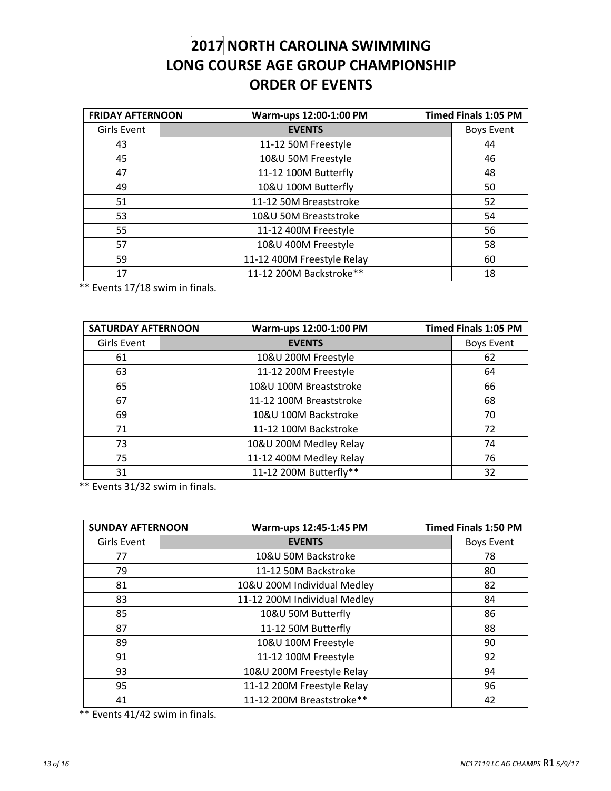### **NORTH CAROLINA SWIMMING LONG COURSE AGE GROUP CHAMPIONSHIP ORDER OF EVENTS** T

| <b>FRIDAY AFTERNOON</b> | Warm-ups 12:00-1:00 PM     | <b>Timed Finals 1:05 PM</b> |
|-------------------------|----------------------------|-----------------------------|
| Girls Event             | <b>EVENTS</b>              | <b>Boys Event</b>           |
| 43                      | 11-12 50M Freestyle        | 44                          |
| 45                      | 10&U 50M Freestyle         | 46                          |
| 47                      | 11-12 100M Butterfly       | 48                          |
| 49                      | 10&U 100M Butterfly        | 50                          |
| 51                      | 11-12 50M Breaststroke     | 52                          |
| 53                      | 10&U 50M Breaststroke      | 54                          |
| 55                      | 11-12 400M Freestyle       | 56                          |
| 57                      | 10&U 400M Freestyle        | 58                          |
| 59                      | 11-12 400M Freestyle Relay | 60                          |
| 17                      | 11-12 200M Backstroke**    | 18                          |

\*\* Events 17/18 swim in finals.

| <b>SATURDAY AFTERNOON</b> |  | Warm-ups 12:00-1:00 PM  | <b>Timed Finals 1:05 PM</b> |                   |
|---------------------------|--|-------------------------|-----------------------------|-------------------|
| Girls Event               |  | <b>EVENTS</b>           |                             | <b>Boys Event</b> |
| 61                        |  | 10&U 200M Freestyle     |                             | 62                |
| 63                        |  | 11-12 200M Freestyle    |                             | 64                |
| 65                        |  | 10&U 100M Breaststroke  |                             | 66                |
| 67                        |  | 11-12 100M Breaststroke |                             | 68                |
| 69                        |  | 10&U 100M Backstroke    |                             | 70                |
| 71                        |  | 11-12 100M Backstroke   |                             | 72                |
| 73                        |  | 10&U 200M Medley Relay  |                             | 74                |
| 75                        |  | 11-12 400M Medley Relay |                             | 76                |
| 31                        |  | 11-12 200M Butterfly**  |                             | 32                |

\*\* Events 31/32 swim in finals.

| <b>SUNDAY AFTERNOON</b> | Warm-ups 12:45-1:45 PM       | <b>Timed Finals 1:50 PM</b> |
|-------------------------|------------------------------|-----------------------------|
| Girls Event             | <b>EVENTS</b>                | <b>Boys Event</b>           |
| 77                      | 10&U 50M Backstroke          | 78                          |
| 79                      | 11-12 50M Backstroke         | 80                          |
| 81                      | 10&U 200M Individual Medley  | 82                          |
| 83                      | 11-12 200M Individual Medley | 84                          |
| 85                      | 10&U 50M Butterfly           | 86                          |
| 87                      | 11-12 50M Butterfly          | 88                          |
| 89                      | 10&U 100M Freestyle          | 90                          |
| 91                      | 11-12 100M Freestyle         | 92                          |
| 93                      | 10&U 200M Freestyle Relay    | 94                          |
| 95                      | 11-12 200M Freestyle Relay   | 96                          |
| 41                      | 11-12 200M Breaststroke**    | 42                          |

\*\* Events 41/42 swim in finals.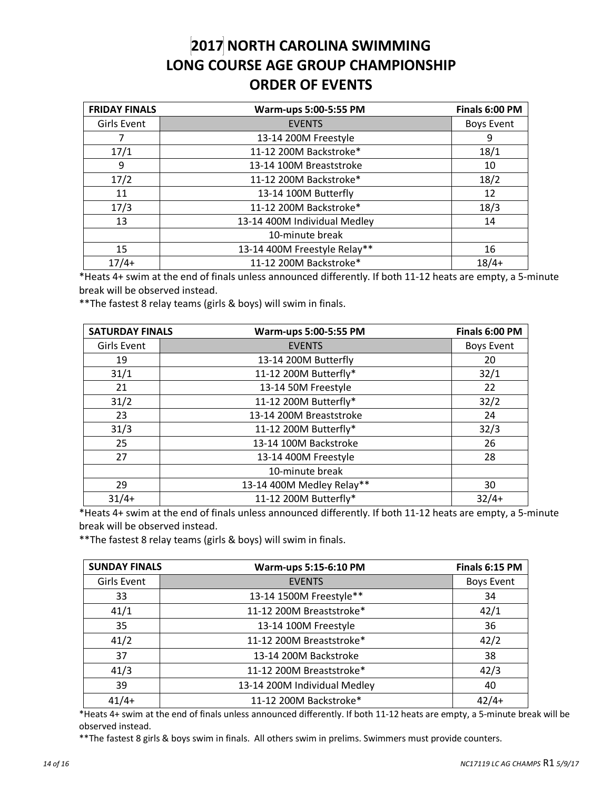### **2017 NORTH CAROLINA SWIMMING LONG COURSE AGE GROUP CHAMPIONSHIP ORDER OF EVENTS**

| <b>FRIDAY FINALS</b> | Warm-ups 5:00-5:55 PM        | Finals 6:00 PM    |
|----------------------|------------------------------|-------------------|
| Girls Event          | <b>EVENTS</b>                | <b>Boys Event</b> |
| 7                    | 13-14 200M Freestyle         | 9                 |
| 17/1                 | 11-12 200M Backstroke*       | 18/1              |
| 9                    | 13-14 100M Breaststroke      | 10                |
| 17/2                 | 11-12 200M Backstroke*       | 18/2              |
| 11                   | 13-14 100M Butterfly         | 12                |
| 17/3                 | 11-12 200M Backstroke*       | 18/3              |
| 13                   | 13-14 400M Individual Medley | 14                |
|                      | 10-minute break              |                   |
| 15                   | 13-14 400M Freestyle Relay** | 16                |
| $17/4+$              | 11-12 200M Backstroke*       | $18/4+$           |

\*Heats 4+ swim at the end of finals unless announced differently. If both 11-12 heats are empty, a 5-minute break will be observed instead.

\*\*The fastest 8 relay teams (girls & boys) will swim in finals.

| <b>SATURDAY FINALS</b> | Warm-ups 5:00-5:55 PM     | Finals 6:00 PM    |
|------------------------|---------------------------|-------------------|
| Girls Event            | <b>EVENTS</b>             | <b>Boys Event</b> |
| 19                     | 13-14 200M Butterfly      | 20                |
| 31/1                   | 11-12 200M Butterfly*     | 32/1              |
| 21                     | 13-14 50M Freestyle       | 22                |
| 31/2                   | 11-12 200M Butterfly*     | 32/2              |
| 23                     | 13-14 200M Breaststroke   | 24                |
| 31/3                   | 11-12 200M Butterfly*     | 32/3              |
| 25                     | 13-14 100M Backstroke     | 26                |
| 27                     | 13-14 400M Freestyle      | 28                |
|                        | 10-minute break           |                   |
| 29                     | 13-14 400M Medley Relay** | 30                |
| $31/4+$                | 11-12 200M Butterfly*     | $32/4+$           |

\*Heats 4+ swim at the end of finals unless announced differently. If both 11-12 heats are empty, a 5-minute break will be observed instead.

\*\*The fastest 8 relay teams (girls & boys) will swim in finals.

| <b>SUNDAY FINALS</b> | Warm-ups 5:15-6:10 PM        | Finals 6:15 PM    |
|----------------------|------------------------------|-------------------|
| Girls Event          | <b>EVENTS</b>                | <b>Boys Event</b> |
| 33                   | 13-14 1500M Freestyle**      | 34                |
| 41/1                 | 11-12 200M Breaststroke*     | 42/1              |
| 35                   | 13-14 100M Freestyle         | 36                |
| 41/2                 | 11-12 200M Breaststroke*     | 42/2              |
| 37                   | 13-14 200M Backstroke        | 38                |
| 41/3                 | 11-12 200M Breaststroke*     | 42/3              |
| 39                   | 13-14 200M Individual Medley | 40                |
| $41/4+$              | 11-12 200M Backstroke*       | $42/4+$           |

\*Heats 4+ swim at the end of finals unless announced differently. If both 11-12 heats are empty, a 5-minute break will be observed instead.

\*\*The fastest 8 girls & boys swim in finals. All others swim in prelims. Swimmers must provide counters.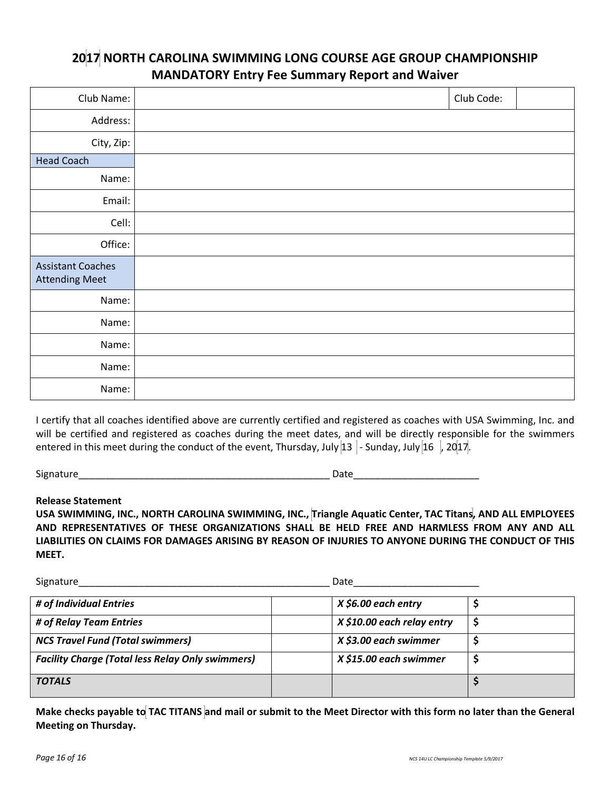### **2017 NORTH CAROLINA SWIMMING LONG COURSE AGE GROUP CHAMPIONSHIP MANDATORY Entry Fee Summary Report and Waiver**

| Club Name:                                        | Club Code: |  |
|---------------------------------------------------|------------|--|
| Address:                                          |            |  |
| City, Zip:                                        |            |  |
| <b>Head Coach</b>                                 |            |  |
| Name:                                             |            |  |
| Email:                                            |            |  |
| Cell:                                             |            |  |
| Office:                                           |            |  |
| <b>Assistant Coaches</b><br><b>Attending Meet</b> |            |  |
| Name:                                             |            |  |
| Name:                                             |            |  |
| Name:                                             |            |  |
| Name:                                             |            |  |
| Name:                                             |            |  |

I certify that all coaches identified above are currently certified and registered as coaches with USA Swimming, Inc. and will be certified and registered as coaches during the meet dates, and will be directly responsible for the swimmers entered in this meet during the conduct of the event, Thursday, July  $\left|13\right|$  - Sunday, July  $\left|16\right|$ , 20 $\left|17\right|$ .

Signature **Example 20** and the set of the set of the set of the set of the set of the set of the set of the set of the set of the set of the set of the set of the set of the set of the set of the set of the set of the set

#### **Release Statement**

**USA SWIMMING, INC., NORTH CAROLINA SWIMMING, INC., Triangle Aquatic Center, TAC Titans, AND ALL EMPLOYEES AND REPRESENTATIVES OF THESE ORGANIZATIONS SHALL BE HELD FREE AND HARMLESS FROM ANY AND ALL LIABILITIES ON CLAIMS FOR DAMAGES ARISING BY REASON OF INJURIES TO ANYONE DURING THE CONDUCT OF THIS MEET.** 

| Signature                                               | Date                       |  |
|---------------------------------------------------------|----------------------------|--|
| # of Individual Entries                                 | $X$ \$6.00 each entry      |  |
| # of Relay Team Entries                                 | X \$10.00 each relay entry |  |
| <b>NCS Travel Fund (Total swimmers)</b>                 | X \$3.00 each swimmer      |  |
| <b>Facility Charge (Total less Relay Only swimmers)</b> | X \$15.00 each swimmer     |  |
| <b>TOTALS</b>                                           |                            |  |

**Make checks payable to TAC TITANS and mail or submit to the Meet Director with this form no later than the General Meeting on Thursday.**